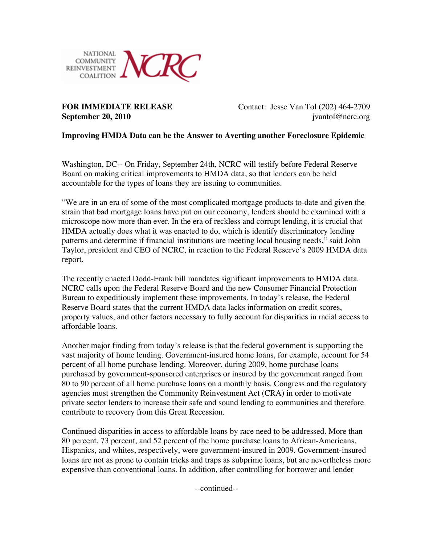

**FOR IMMEDIATE RELEASE** Contact: Jesse Van Tol (202) 464-2709 **September 20, 2010** *jvantol@ncrc.org* 

## **Improving HMDA Data can be the Answer to Averting another Foreclosure Epidemic**

Washington, DC-- On Friday, September 24th, NCRC will testify before Federal Reserve Board on making critical improvements to HMDA data, so that lenders can be held accountable for the types of loans they are issuing to communities.

"We are in an era of some of the most complicated mortgage products to-date and given the strain that bad mortgage loans have put on our economy, lenders should be examined with a microscope now more than ever. In the era of reckless and corrupt lending, it is crucial that HMDA actually does what it was enacted to do, which is identify discriminatory lending patterns and determine if financial institutions are meeting local housing needs," said John Taylor, president and CEO of NCRC, in reaction to the Federal Reserve's 2009 HMDA data report.

The recently enacted Dodd-Frank bill mandates significant improvements to HMDA data. NCRC calls upon the Federal Reserve Board and the new Consumer Financial Protection Bureau to expeditiously implement these improvements. In today's release, the Federal Reserve Board states that the current HMDA data lacks information on credit scores, property values, and other factors necessary to fully account for disparities in racial access to affordable loans.

Another major finding from today's release is that the federal government is supporting the vast majority of home lending. Government-insured home loans, for example, account for 54 percent of all home purchase lending. Moreover, during 2009, home purchase loans purchased by government-sponsored enterprises or insured by the government ranged from 80 to 90 percent of all home purchase loans on a monthly basis. Congress and the regulatory agencies must strengthen the Community Reinvestment Act (CRA) in order to motivate private sector lenders to increase their safe and sound lending to communities and therefore contribute to recovery from this Great Recession.

Continued disparities in access to affordable loans by race need to be addressed. More than 80 percent, 73 percent, and 52 percent of the home purchase loans to African-Americans, Hispanics, and whites, respectively, were government-insured in 2009. Government-insured loans are not as prone to contain tricks and traps as subprime loans, but are nevertheless more expensive than conventional loans. In addition, after controlling for borrower and lender

--continued--